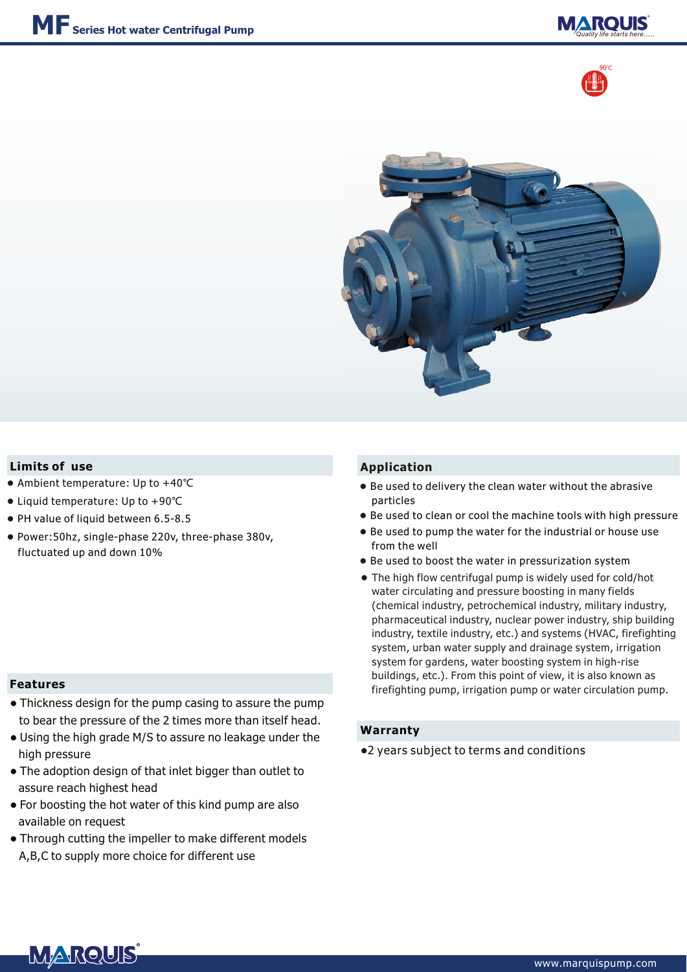





## **Limits of** use **Application**

- Ambient temperature: Up to +40℃
- Liquid temperature: Up to +90℃
- PH value of liquid between 6.5-8.5
- Power:50hz, single-phase 220v, three-phase 380v, fluctuated up and down 10%

#### **Features**

- Thickness design for the pump casing to assure the pump to bear the pressure of the 2 times more than itself head.
- Using the high grade M/S to assure no leakage under the high pressure
- The adoption design of that inlet bigger than outlet to assure reach highest head
- For boosting the hot water of this kind pump are also available on request
- Through cutting the impeller to make different models A,B,C to supply more choice for different use

- Be used to delivery the clean water without the abrasive particles
- Be used to clean or cool the machine tools with high pressure
- Be used to pump the water for the industrial or house use from the well
- Be used to boost the water in pressurization system
- The high flow centrifugal pump is widely used for cold/hot ●water circulating and pressure boosting in many fields (chemical industry, petrochemical industry, military industry, pharmaceutical industry, nuclear power industry, ship building industry, textile industry, etc.) and systems (HVAC, firefighting system, urban water supply and drainage system, irrigation system for gardens, water boosting system in high-rise buildings, etc.). From this point of view, it is also known as firefighting pump, irrigation pump or water circulation pump.

### **Warranty**

●2 years subject to terms and conditions

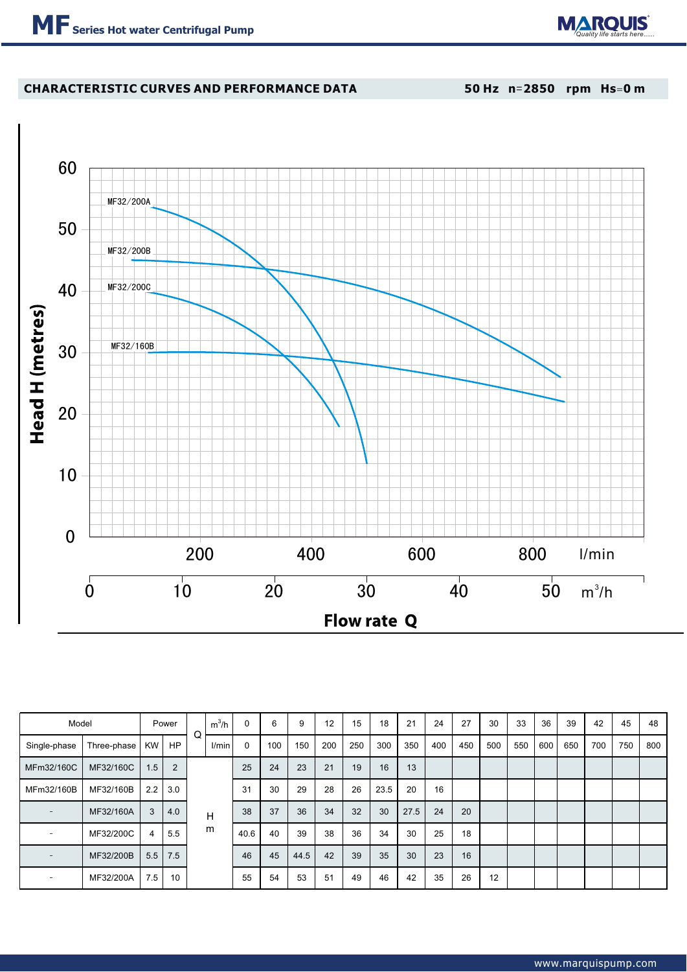

## **CHARACTERISTIC CURVES AND PERFORMANCE DATA**

**50 Hz n**=**2850 rpm Hs**=**0 m**



| Model                    |             |               | Power | Q | $m^3/h$ | $\Omega$    | 6   | 9    | 12  | 15  | 18   | 21   | 24  | 27  | 30  | 33  | 36  | 39  | 42  | 45  | 48  |
|--------------------------|-------------|---------------|-------|---|---------|-------------|-----|------|-----|-----|------|------|-----|-----|-----|-----|-----|-----|-----|-----|-----|
| Single-phase             | Three-phase | KW            | HP    |   | l/min   | $\mathbf 0$ | 100 | 150  | 200 | 250 | 300  | 350  | 400 | 450 | 500 | 550 | 600 | 650 | 700 | 750 | 800 |
| MFm32/160C               | MF32/160C   | 1.5           | 2     |   |         | 25          | 24  | 23   | 21  | 19  | 16   | 13   |     |     |     |     |     |     |     |     |     |
| MFm32/160B               | MF32/160B   | $2.2^{\circ}$ | 3.0   |   |         | 31          | 30  | 29   | 28  | 26  | 23.5 | 20   | 16  |     |     |     |     |     |     |     |     |
|                          | MF32/160A   | 3             | 4.0   |   | н       | 38          | 37  | 36   | 34  | 32  | 30   | 27.5 | 24  | 20  |     |     |     |     |     |     |     |
|                          | MF32/200C   | 4             | 5.5   |   | m       | 40.6        | 40  | 39   | 38  | 36  | 34   | 30   | 25  | 18  |     |     |     |     |     |     |     |
| $\overline{\phantom{0}}$ | MF32/200B   | 5.5           | 7.5   |   |         | 46          | 45  | 44.5 | 42  | 39  | 35   | 30   | 23  | 16  |     |     |     |     |     |     |     |
| $\overline{\phantom{0}}$ | MF32/200A   | 7.5           | 10    |   |         | 55          | 54  | 53   | 51  | 49  | 46   | 42   | 35  | 26  | 12  |     |     |     |     |     |     |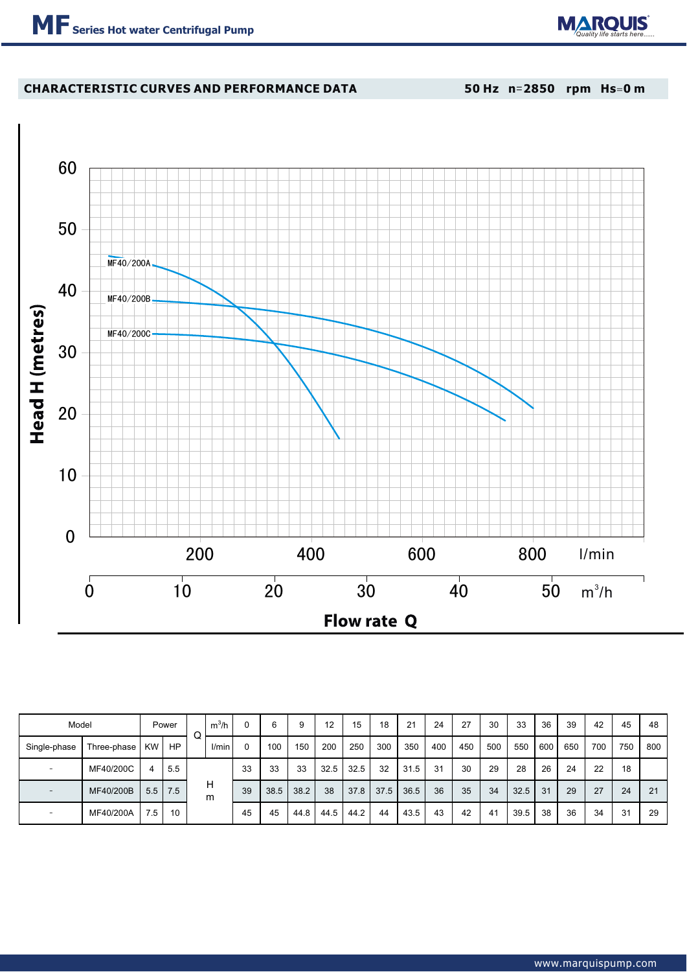

## **CHARACTERISTIC CURVES AND PERFORMANCE DATA**

**50 Hz n**=**2850 rpm Hs**=**0 m**



| Model                    |                |     | Power | Q | $m^3/h$ |              | 6    | 9    | $12 \overline{ }$ | 15   | 18   | 21   | 24  | 27  | 30  | 33   | 36  | 39  | 42  | 45  | 48  |
|--------------------------|----------------|-----|-------|---|---------|--------------|------|------|-------------------|------|------|------|-----|-----|-----|------|-----|-----|-----|-----|-----|
| Single-phase             | Three-phase KW |     | HP    |   | I/min   | $\mathbf{0}$ | 100  | 150  | 200               | 250  | 300  | 350  | 400 | 450 | 500 | 550  | 600 | 650 | 700 | 750 | 800 |
| $\equiv$                 | MF40/200C      | 4   | 5.5   |   |         | 33           | 33   | 33   | 32.5              | 32.5 | 32   | 31.5 | 31  | 30  | 29  | 28   | 26  | 24  | 22  | 18  |     |
| $\overline{\phantom{a}}$ | MF40/200B      | 5.5 | 17.5  |   | н<br>m  | 39           | 38.5 | 38.2 | 38                | 37.8 | 37.5 | 36.5 | 36  | 35  | 34  | 32.5 | 31  | 29  | 27  | 24  | 21  |
| $\overline{\phantom{0}}$ | MF40/200A      | 7.5 | 10    |   |         | 45           | 45   | 44.8 | 44.5              | 44.2 | 44   | 43.5 | 43  | 42  | -41 | 39.5 | 38  | 36  | -34 | 31  | 29  |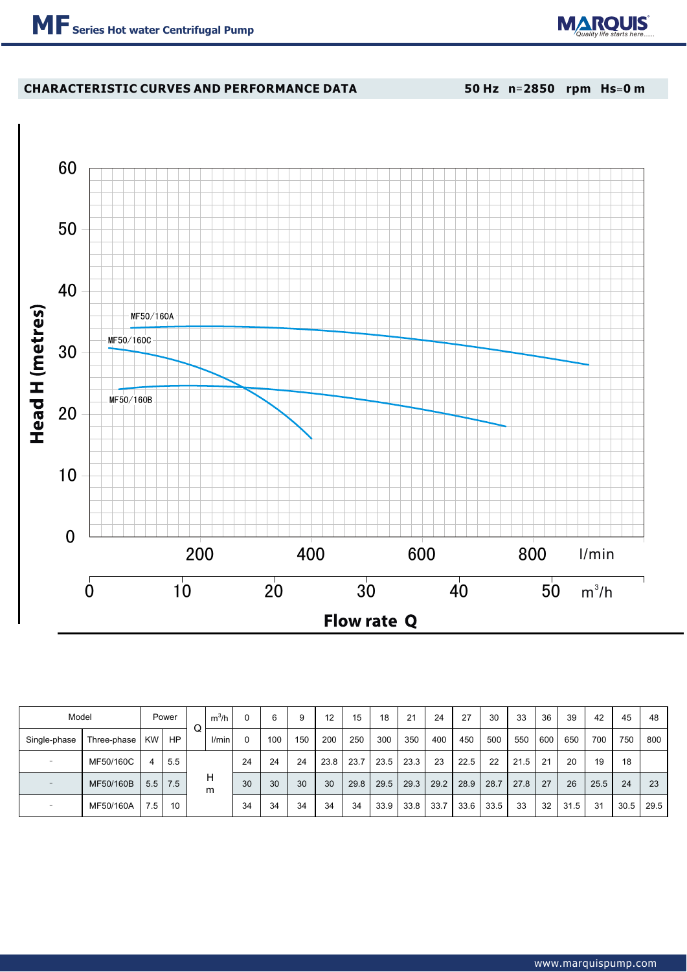# **CHARACTERISTIC CURVES AND PERFORMANCE DATA**

**50 Hz n**=**2850 rpm Hs**=**0 m**



| Model                    |                  |     | Power |   | $m^3/h$ | 0  | 6   | 9   | 12   | 15   | 18   | 21   | 24   | 27   | 30   | 33   | 36  | 39   | 42   | 45   | 48   |
|--------------------------|------------------|-----|-------|---|---------|----|-----|-----|------|------|------|------|------|------|------|------|-----|------|------|------|------|
| Single-phase             | Three-phase   KW |     | HP    | Q | l/min   | 0  | 100 | 150 | 200  | 250  | 300  | 350  | 400  | 450  | 500  | 550  | 600 | 650  | 700  | 750  | 800  |
| $\overline{\phantom{a}}$ | MF50/160C        | 4   | 5.5   |   |         | 24 | 24  | 24  | 23.8 | 23.7 | 23.5 | 23.3 | 23   | 22.5 | 22   | 21.5 | 21  | 20   | 19   | 18   |      |
| $\overline{\phantom{a}}$ | MF50/160B        | 5.5 | 7.5   |   | н<br>m  | 30 | 30  | 30  | 30   | 29.8 | 29.5 | 29.3 | 29.2 | 28.9 | 28.7 | 27.8 | 27  | 26   | 25.5 | 24   | 23   |
| $\overline{\phantom{a}}$ | MF50/160A        | 7.5 | 10    |   |         | 34 | 34  | 34  | 34   | 34   | 33.9 | 33.8 | 33.7 | 33.6 | 33.5 | 33   | 32  | 31.5 | 31   | 30.5 | 29.5 |

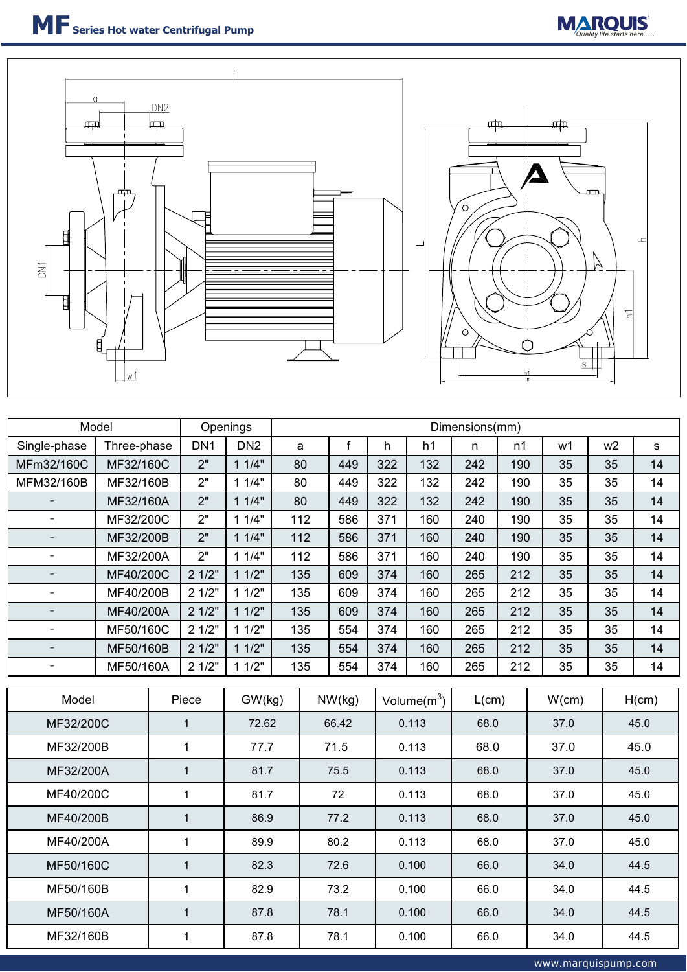



|                          | Model       |  | Openings        | Dimensions(mm)       |     |        |       |     |                |            |       |       |                |       |  |  |
|--------------------------|-------------|--|-----------------|----------------------|-----|--------|-------|-----|----------------|------------|-------|-------|----------------|-------|--|--|
| Single-phase             | Three-phase |  | DN <sub>1</sub> | DN <sub>2</sub><br>a |     |        | f     | h   | h1             | n          | n1    | w1    | w <sub>2</sub> | s     |  |  |
| MFm32/160C               | MF32/160C   |  | 2"              | 11/4"                |     | 80     | 449   | 322 | 132            | 242        | 190   | 35    | 35             | 14    |  |  |
| MFM32/160B               | MF32/160B   |  | 2"              | 11/4"                | 80  |        | 449   | 322 | 132            | 242        | 190   | 35    | 35             | 14    |  |  |
| $\overline{\phantom{a}}$ | MF32/160A   |  | 2"              | 11/4"                | 80  |        | 449   | 322 | 132            | 242<br>190 |       | 35    | 35             | 14    |  |  |
| $\overline{\phantom{0}}$ | MF32/200C   |  | 2"              | 11/4"                |     | 112    | 586   | 371 | 160            | 240        | 190   | 35    | 35             | 14    |  |  |
|                          | MF32/200B   |  | 2"              | 11/4"                |     | 112    | 586   | 371 | 160            | 240        | 190   | 35    | 35             | 14    |  |  |
| $\equiv$                 | MF32/200A   |  | 2"              | 11/4"                |     | 112    | 586   | 371 | 160            | 240        | 190   | 35    | 35             | 14    |  |  |
| $\overline{\phantom{a}}$ | MF40/200C   |  | 21/2"           | 11/2"                |     | 135    | 609   | 374 | 160            | 265        | 212   | 35    | 35             | 14    |  |  |
| $\equiv$                 | MF40/200B   |  | 21/2"           | 11/2"                | 135 |        | 609   | 374 | 160            | 265        | 212   | 35    | 35             | 14    |  |  |
|                          | MF40/200A   |  | 21/2"           | 11/2"                |     | 135    | 609   | 374 | 160            | 265        | 212   | 35    | 35             | 14    |  |  |
| $\equiv$                 | MF50/160C   |  | 21/2"           | 11/2"                |     | 135    | 554   | 374 | 160            | 265        | 212   | 35    | 35             | 14    |  |  |
|                          | MF50/160B   |  | 21/2"           | 11/2"                |     | 135    | 554   | 374 | 160            | 212<br>265 |       | 35    | 35             | 14    |  |  |
| $\overline{\phantom{0}}$ | MF50/160A   |  | 21/2"           | 11/2"                |     | 135    | 554   | 374 | 160            | 265        | 212   | 35    | 35             | 14    |  |  |
|                          |             |  |                 |                      |     |        |       |     |                |            |       |       |                |       |  |  |
| Model                    |             |  | Piece           | GW(kg)               |     | NW(kg) |       |     | Volume $(m^3)$ |            | L(cm) | W(cm) |                | H(cm) |  |  |
| MF32/200C                |             |  | $\mathbf{1}$    | 72.62                |     |        | 66.42 |     | 0.113          | 68.0       |       | 37.0  |                | 45.0  |  |  |
| MF32/200B                |             |  | $\mathbf{1}$    | 77.7                 |     |        | 71.5  |     | 0.113          |            | 68.0  | 37.0  |                | 45.0  |  |  |
| MF32/200A                |             |  | $\mathbf{1}$    | 81.7                 |     |        | 75.5  |     | 0.113          | 68.0       |       | 37.0  |                | 45.0  |  |  |
|                          | MF40/200C   |  | $\mathbf{1}$    | 81.7                 |     |        | 72    |     | 0.113          | 68.0       |       | 37.0  |                | 45.0  |  |  |
| MF40/200B                |             |  | $\mathbf{1}$    | 86.9                 |     |        | 77.2  |     | 0.113          | 68.0       |       | 37.0  |                | 45.0  |  |  |
| MF40/200A                |             |  | $\mathbf 1$     | 89.9                 |     |        | 80.2  |     | 0.113          | 68.0       |       | 37.0  |                | 45.0  |  |  |
| MF50/160C                |             |  | $\mathbf{1}$    | 82.3                 |     |        | 72.6  |     | 0.100          | 66.0       |       | 34.0  |                | 44.5  |  |  |
| MF50/160B                |             |  | $\mathbf{1}$    | 82.9                 |     |        | 73.2  |     | 0.100          | 66.0       |       | 34.0  |                | 44.5  |  |  |
| MF50/160A                |             |  | $\mathbf{1}$    | 87.8                 |     |        | 78.1  |     | 0.100          | 66.0       |       | 34.0  |                | 44.5  |  |  |

MF32/160B | 1 | 87.8 | 78.1 | 0.100 | 66.0 | 34.0 | 44.5